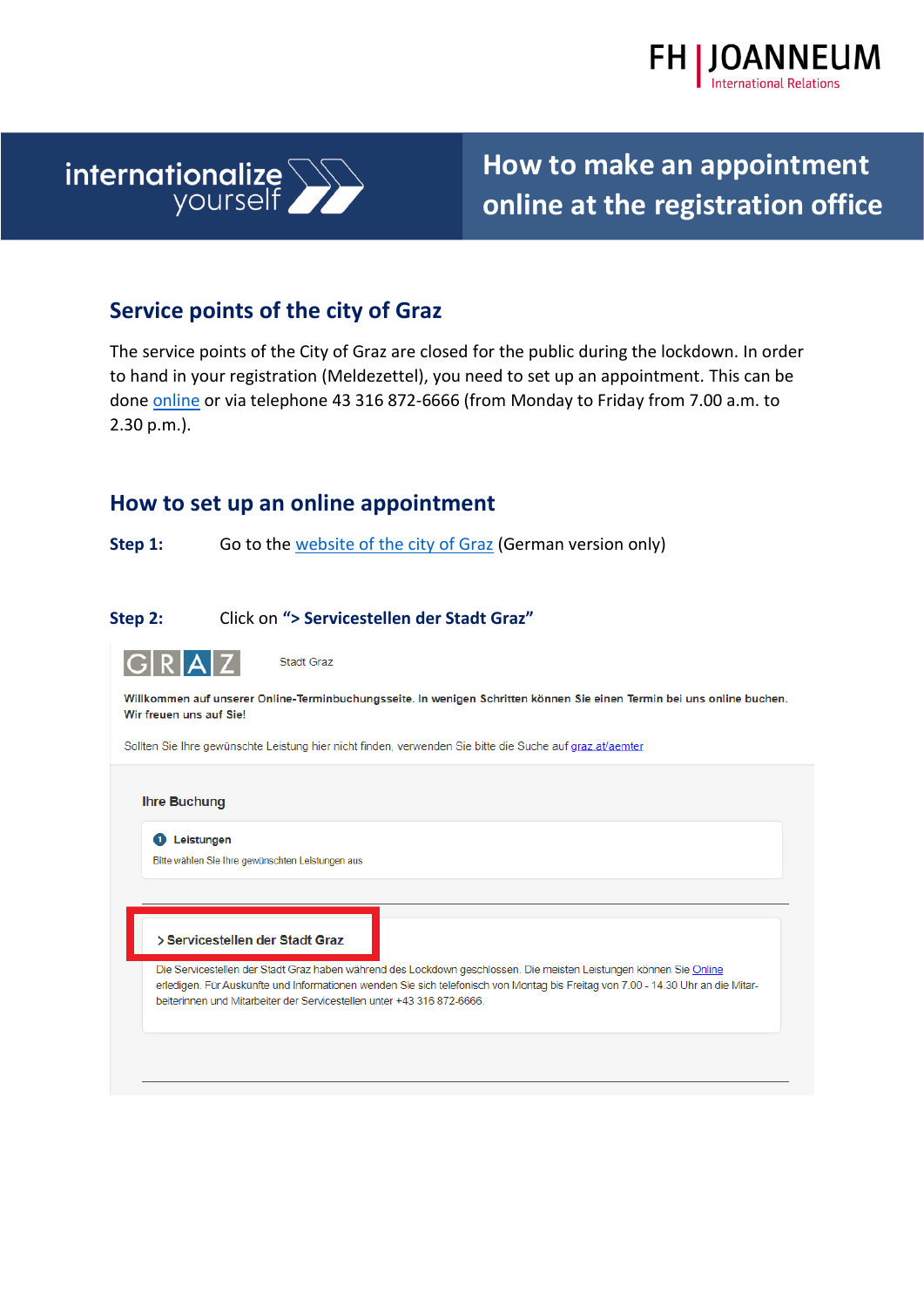



## **Service points of the city of Graz**

The service points of the City of Graz are closed for the public during the lockdown. In order to hand in your registration (Meldezettel), you need to set up an appointment. This can be done [online](https://www.etermin.net/stadtgraz?servicegroupid=65307) or via telephone 43 316 872-6666 (from Monday to Friday from 7.00 a.m. to 2.30 p.m.).

### **How to set up an online appointment**

**Step 1:** Go to the [website of the city of Graz](https://www.etermin.net/stadtgraz?servicegroupid=65307) (German version only)

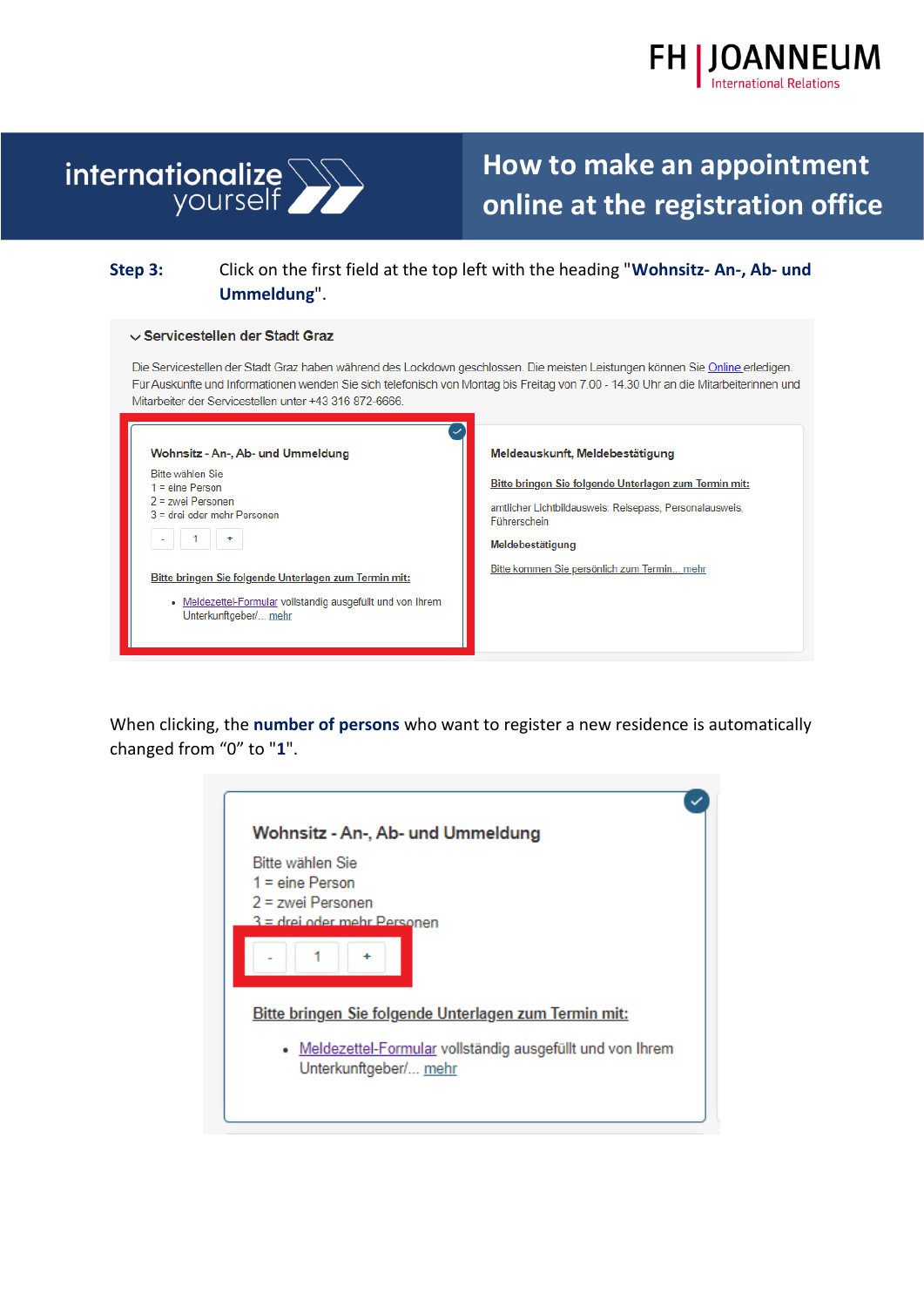



### **Step 3:** Click on the first field at the top left with the heading "**Wohnsitz- An-, Ab- und Ummeldung**".

#### $\vee$  Servicestellen der Stadt Graz

Die Servicestellen der Stadt Graz haben während des Lockdown geschlossen. Die meisten Leistungen können Sie Online erledigen. Für Auskünfte und Informationen wenden Sie sich telefonisch von Montag bis Freitag von 7.00 - 14.30 Uhr an die Mitarbeiterinnen und Mitarbeiter der Servicestellen unter +43 316 872-6666.

| Wohnsitz - An-, Ab- und Ummeldung                                                                                                                                                                                                                                                 | Meldeauskunft, Meldebestätigung                                                                                                                                                                     |
|-----------------------------------------------------------------------------------------------------------------------------------------------------------------------------------------------------------------------------------------------------------------------------------|-----------------------------------------------------------------------------------------------------------------------------------------------------------------------------------------------------|
| Bitte wählen Sie<br>$1 = \text{eine Person}$<br>$2$ = zwei Personen<br>$3$ = drei oder mehr Personen<br>$\overline{\phantom{a}}$<br>Bitte bringen Sie folgende Unterlagen zum Termin mit:<br>• Meldezettel-Formular vollständig ausgefüllt und von Ihrem<br>Unterkunftgeber/ mehr | Bitte bringen Sie folgende Unterlagen zum Termin mit:<br>amtlicher Lichtbildausweis: Reisepass, Personalausweis,<br>Führerschein<br>Meldebestätigung<br>Bitte kommen Sie persönlich zum Termin mehr |

When clicking, the **number of persons** who want to register a new residence is automatically changed from "0" to "**1**".

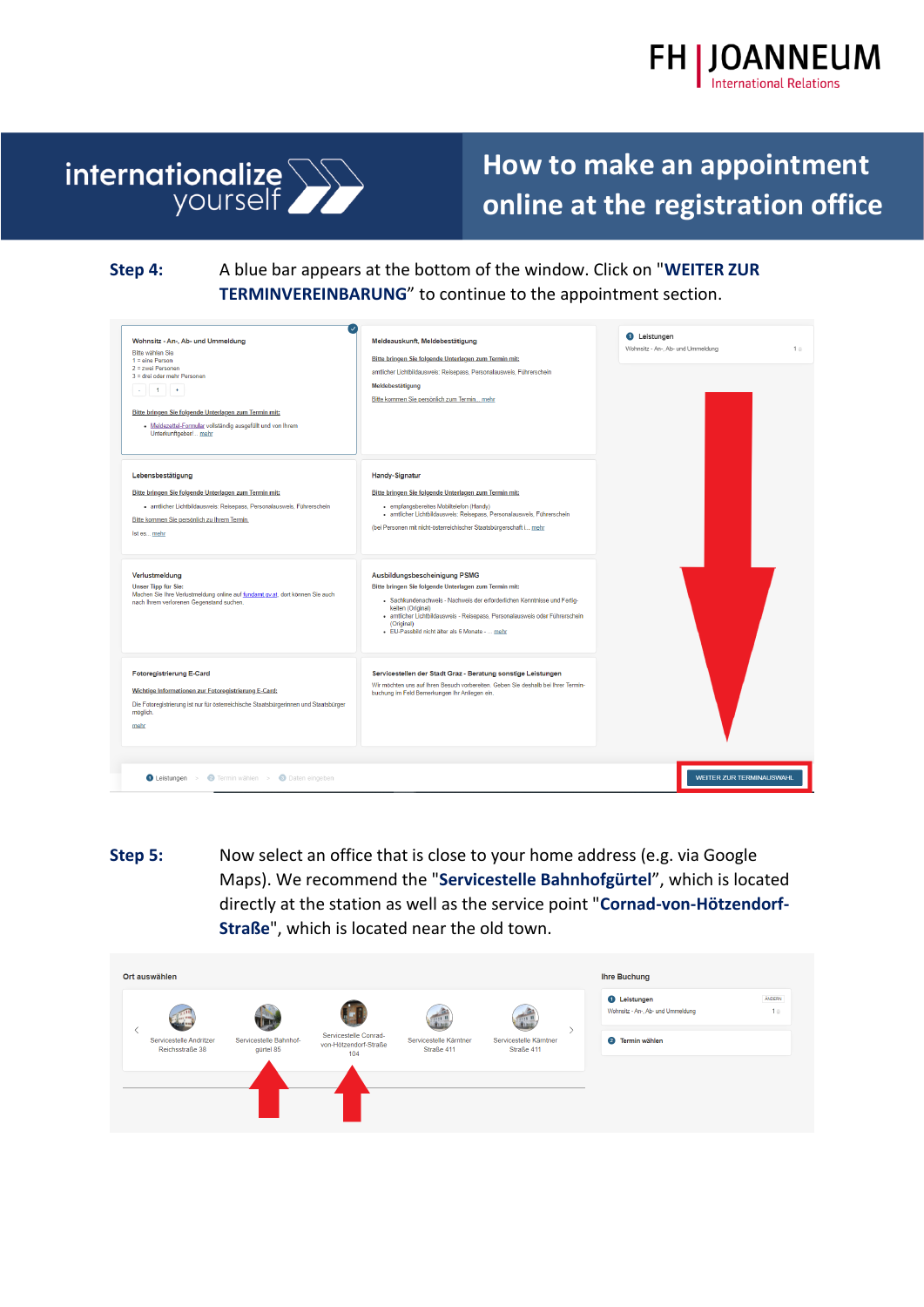



**Step 4:** A blue bar appears at the bottom of the window. Click on "**WEITER ZUR TERMINVEREINBARUNG**" to continue to the appointment section.

| $\checkmark$<br>Wohnsitz - An-, Ab- und Ummeldung<br>Bitte wählen Sie<br>$1 =$ eine Person<br>2 = zwei Personen<br>$3$ = drei oder mehr Personen<br>$-11 +$<br>Bitte bringen Sie folgende Unterlagen zum Termin mit:<br>· Meldezettel-Formular vollständig ausgefüllt und von Ihrem<br>Unterkunftgeber/ mehr | Meldeauskunft, Meldebestätigung<br>Bitte bringen Sie folgende Unterlagen zum Termin mit:<br>amtlicher Lichtbildausweis: Reisepass, Personalausweis, Führerschein<br>Meldebestätigung<br>Bitte kommen Sie persönlich zum Termin mehr                                                                                                    | <b>O</b> Leistungen<br>Wohnsitz - An-, Ab- und Ummeldung<br>1 <sup>o</sup> |
|--------------------------------------------------------------------------------------------------------------------------------------------------------------------------------------------------------------------------------------------------------------------------------------------------------------|----------------------------------------------------------------------------------------------------------------------------------------------------------------------------------------------------------------------------------------------------------------------------------------------------------------------------------------|----------------------------------------------------------------------------|
| Lebensbestätigung<br>Bitte bringen Sie folgende Unterlagen zum Termin mit:<br>· amtlicher Lichtbildausweis: Reisepass, Personalausweis, Führerschein<br>Bitte kommen Sie persönlich zu Ihrem Termin.<br>Ist es mehr                                                                                          | <b>Handy-Signatur</b><br>Bitte bringen Sie folgende Unterlagen zum Termin mit:<br>· empfangsbereites Mobiltelefon (Handy)<br>· amtlicher Lichtbildausweis: Reisepass, Personalausweis, Führerschein<br>(bei Personen mit nicht-österreichischer Staatsbürgerschaft i mehr                                                              |                                                                            |
| Verlustmeldung<br><b>Unser Tipp für Sie:</b><br>Machen Sie Ihre Verlustmeldung online auf fundamt.gv.at, dort können Sie auch<br>nach Ihrem verlorenen Gegenstand suchen.                                                                                                                                    | Ausbildungsbescheinigung PSMG<br>Bitte bringen Sie folgende Unterlagen zum Termin mit:<br>· Sachkundenachweis - Nachweis der erforderlichen Kenntnisse und Fertig-<br>keiten (Original)<br>· amtlicher Lichtbildausweis - Reisepass, Personalausweis oder Führerschein<br>(Original)<br>· EU-Passbild nicht älter als 6 Monate -  mehr |                                                                            |
| <b>Fotoregistrierung E-Card</b><br>Wichtige Informationen zur Fotoregistrierung E-Card:<br>Die Fotoregistrierung ist nur für österreichische Staatsbürgerinnen und Staatsbürger<br>möglich.<br>mehr                                                                                                          | Servicestellen der Stadt Graz - Beratung sonstige Leistungen<br>Wir möchten uns auf Ihren Besuch vorbereiten. Geben Sie deshalb bei Ihrer Termin-<br>buchung im Feld Bemerkungen Ihr Anliegen ein.                                                                                                                                     |                                                                            |
| <b>O Leistungen</b> > <b>O</b> Termin wählen > <b>O</b> Daten eingeben                                                                                                                                                                                                                                       |                                                                                                                                                                                                                                                                                                                                        | WEITER ZUR TERMINAUSWAHL                                                   |

**Step 5:** Now select an office that is close to your home address (e.g. via Google Maps). We recommend the "**Servicestelle Bahnhofgürtel**", which is located directly at the station as well as the service point "**Cornad-von-Hötzendorf-Straße**", which is located near the old town.

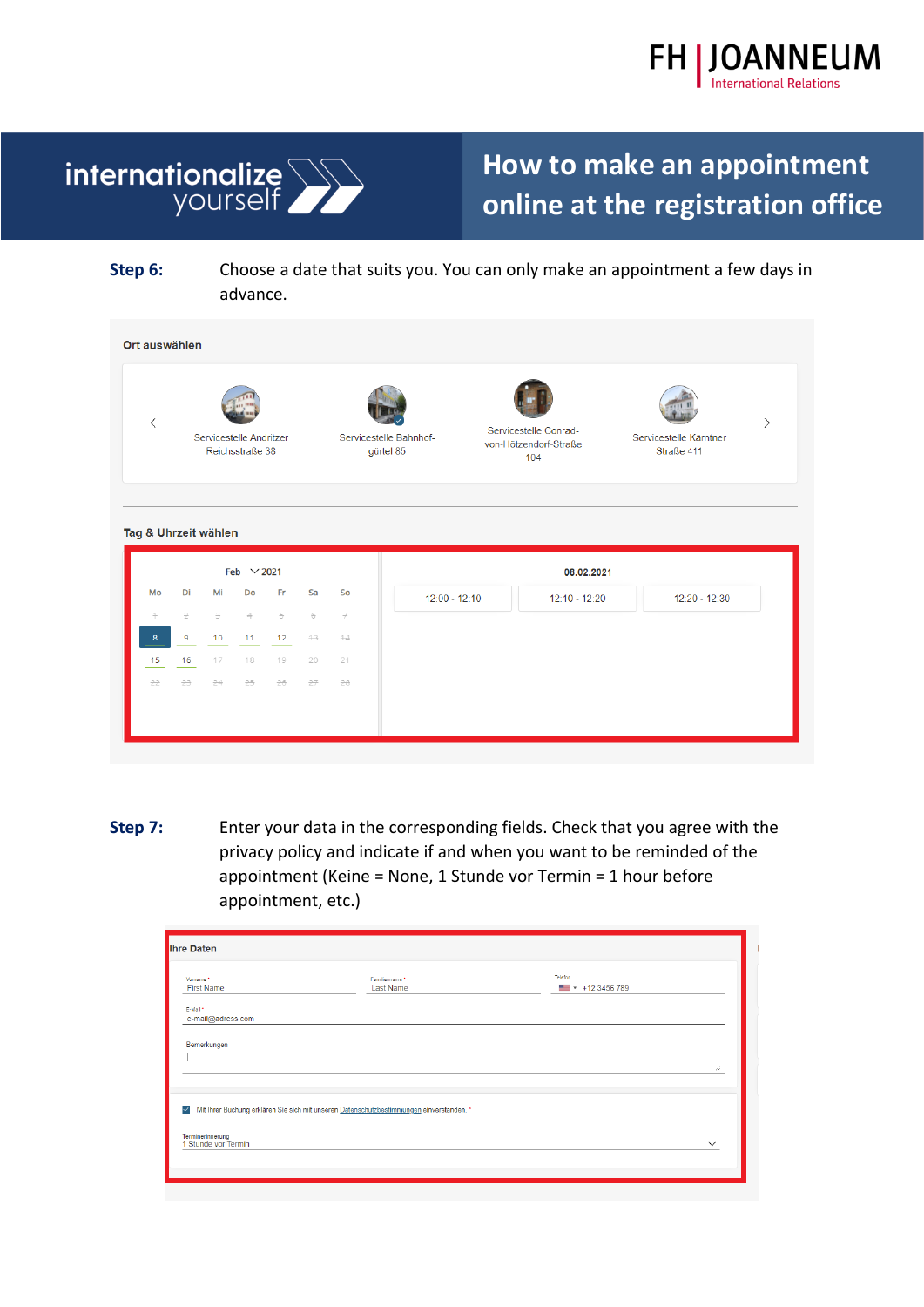



**Step 6:** Choose a date that suits you. You can only make an appointment a few days in advance.

| $\hspace{0.5cm}\mathopen\langle$ | Servicestelle Andritzer<br>Reichsstraße 38 |      |                 | Servicestelle Bahnhof-<br>gürtel 85 | Servicestelle Conrad-<br>von-Hötzendorf-Straße<br>104 | Servicestelle Kärntner<br>Straße 411 | $\left\langle \right\rangle$ |                 |                 |  |
|----------------------------------|--------------------------------------------|------|-----------------|-------------------------------------|-------------------------------------------------------|--------------------------------------|------------------------------|-----------------|-----------------|--|
|                                  | Tag & Uhrzeit wählen                       |      |                 |                                     |                                                       |                                      |                              |                 |                 |  |
|                                  |                                            |      | Feb $\vee$ 2021 |                                     |                                                       |                                      |                              | 08.02.2021      |                 |  |
| Mo                               | Di                                         | Mi   | Do              | Fr                                  | Sa                                                    | So                                   | $12:00 - 12:10$              | $12:10 - 12:20$ | $12:20 - 12:30$ |  |
| $\div$                           | $\hat{z}$                                  | 3    | $\Rightarrow$   | 5                                   | $_{\oplus}$                                           | $\overline{\tau}$                    |                              |                 |                 |  |
| $\boldsymbol{8}$                 | 9                                          | 10   | 11              | 12                                  | $+3$                                                  | 44                                   |                              |                 |                 |  |
| 15                               | 16                                         | $+7$ | $+8$            | $+9$                                | $20 -$                                                | 24                                   |                              |                 |                 |  |

**Step 7:** Enter your data in the corresponding fields. Check that you agree with the privacy policy and indicate if and when you want to be reminded of the appointment (Keine = None, 1 Stunde vor Termin = 1 hour before appointment, etc.)

| <b>Ihre Daten</b>                                                                                                   |                             |                                          |              |  |  |  |  |
|---------------------------------------------------------------------------------------------------------------------|-----------------------------|------------------------------------------|--------------|--|--|--|--|
| Vorname *<br><b>First Name</b>                                                                                      | Familienname *<br>Last Name | Telefon<br>$\blacksquare$ - +12 3456 789 |              |  |  |  |  |
| E-Mail *<br>e-mail@adress.com                                                                                       |                             |                                          |              |  |  |  |  |
| Bemerkungen                                                                                                         |                             |                                          |              |  |  |  |  |
|                                                                                                                     |                             |                                          | 11           |  |  |  |  |
| Mit Ihrer Buchung erklären Sie sich mit unseren Datenschutzbestimmungen einverstanden. *<br>$\overline{\checkmark}$ |                             |                                          |              |  |  |  |  |
| Terminerinnerung<br>1 Stunde vor Termin                                                                             |                             |                                          | $\checkmark$ |  |  |  |  |
|                                                                                                                     |                             |                                          |              |  |  |  |  |